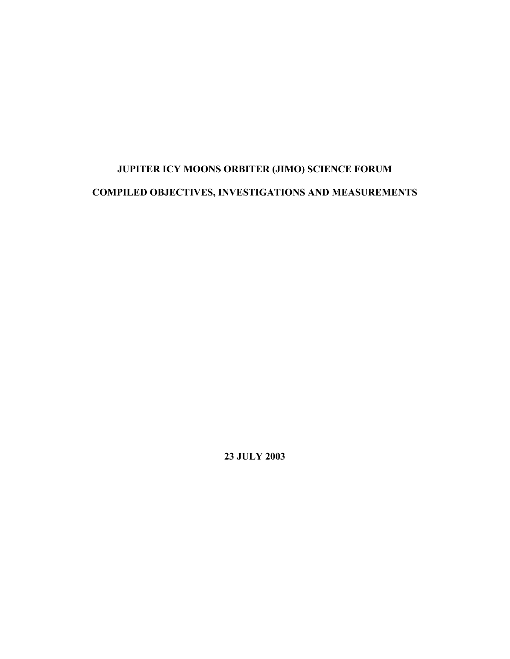# **JUPITER ICY MOONS ORBITER (JIMO) SCIENCE FORUM COMPILED OBJECTIVES, INVESTIGATIONS AND MEASUREMENTS**

**23 JULY 2003**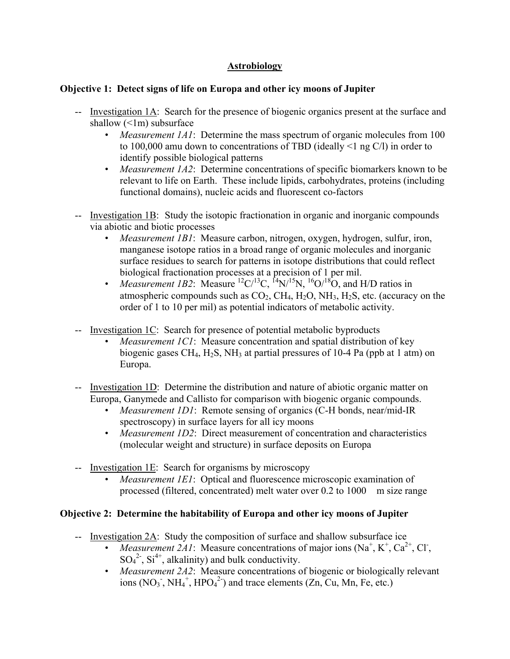## **Astrobiology**

## **Objective 1: Detect signs of life on Europa and other icy moons of Jupiter**

- -- Investigation 1A: Search for the presence of biogenic organics present at the surface and shallow  $(\leq 1m)$  subsurface
	- *Measurement 1A1*: Determine the mass spectrum of organic molecules from 100 to 100,000 amu down to concentrations of TBD (ideally <1 ng C/l) in order to identify possible biological patterns
	- *Measurement 1A2*: Determine concentrations of specific biomarkers known to be relevant to life on Earth. These include lipids, carbohydrates, proteins (including functional domains), nucleic acids and fluorescent co-factors
- -- Investigation 1B: Study the isotopic fractionation in organic and inorganic compounds via abiotic and biotic processes
	- *Measurement 1B1*: Measure carbon, nitrogen, oxygen, hydrogen, sulfur, iron, manganese isotope ratios in a broad range of organic molecules and inorganic surface residues to search for patterns in isotope distributions that could reflect biological fractionation processes at a precision of 1 per mil.
	- *Measurement 1B2*: Measure  ${}^{12}C/{}^{13}C$ ,  ${}^{14}N/{}^{15}N$ ,  ${}^{16}O/{}^{18}O$ , and H/D ratios in atmospheric compounds such as  $CO_2$ ,  $CH_4$ ,  $H_2O$ ,  $NH_3$ ,  $H_2S$ , etc. (accuracy on the order of 1 to 10 per mil) as potential indicators of metabolic activity.
- -- Investigation 1C: Search for presence of potential metabolic byproducts
	- *Measurement 1C1*: Measure concentration and spatial distribution of key biogenic gases CH<sub>4</sub>, H<sub>2</sub>S, NH<sub>3</sub> at partial pressures of 10-4 Pa (ppb at 1 atm) on Europa.
- -- Investigation 1D: Determine the distribution and nature of abiotic organic matter on Europa, Ganymede and Callisto for comparison with biogenic organic compounds.
	- *Measurement 1D1*: Remote sensing of organics (C-H bonds, near/mid-IR spectroscopy) in surface layers for all icy moons
	- *Measurement 1D2*: Direct measurement of concentration and characteristics (molecular weight and structure) in surface deposits on Europa
- -- Investigation 1E: Search for organisms by microscopy
	- *Measurement 1E1*: Optical and fluorescence microscopic examination of processed (filtered, concentrated) melt water over 0.2 to 1000 m size range

## **Objective 2: Determine the habitability of Europa and other icy moons of Jupiter**

- -- Investigation 2A: Study the composition of surface and shallow subsurface ice
	- *Measurement 2A1*: Measure concentrations of major ions  $(Na^+, K^+, Ca^{2+}, Cl^-)$  $SO_4^2$ ,  $Si^{4+}$ , alkalinity) and bulk conductivity.
	- *Measurement 2A2*: Measure concentrations of biogenic or biologically relevant ions  $(NO<sub>3</sub>$ ,  $NH<sub>4</sub><sup>+</sup>, HPO<sub>4</sub><sup>2</sup>)$  and trace elements  $(Zn, Cu, Mn, Fe, etc.)$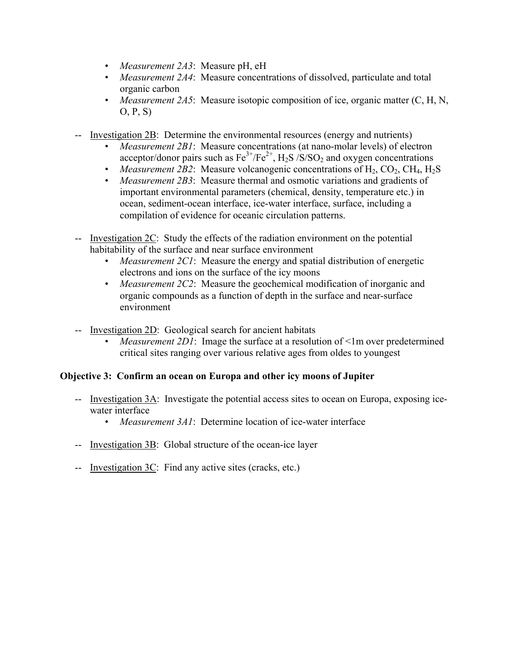- *Measurement 2A3*: Measure pH, eH
- *Measurement 2A4*: Measure concentrations of dissolved, particulate and total organic carbon
- *Measurement 2A5*: Measure isotopic composition of ice, organic matter (C, H, N, O, P, S)
- -- Investigation 2B: Determine the environmental resources (energy and nutrients)
	- *Measurement 2B1*: Measure concentrations (at nano-molar levels) of electron acceptor/donor pairs such as  $Fe^{3+}/Fe^{2+}$ , H<sub>2</sub>S /S/SO<sub>2</sub> and oxygen concentrations
	- *Measurement 2B2*: Measure volcanogenic concentrations of  $H_2$ ,  $CO_2$ ,  $CH_4$ ,  $H_2S$
	- *Measurement 2B3*: Measure thermal and osmotic variations and gradients of important environmental parameters (chemical, density, temperature etc.) in ocean, sediment-ocean interface, ice-water interface, surface, including a compilation of evidence for oceanic circulation patterns.
- -- Investigation 2C: Study the effects of the radiation environment on the potential habitability of the surface and near surface environment
	- *Measurement 2C1*: Measure the energy and spatial distribution of energetic electrons and ions on the surface of the icy moons
	- *Measurement 2C2*: Measure the geochemical modification of inorganic and organic compounds as a function of depth in the surface and near-surface environment
- -- Investigation 2D: Geological search for ancient habitats
	- *Measurement 2D1*: Image the surface at a resolution of  $\leq$ 1m over predetermined critical sites ranging over various relative ages from oldes to youngest

## **Objective 3: Confirm an ocean on Europa and other icy moons of Jupiter**

- -- Investigation 3A: Investigate the potential access sites to ocean on Europa, exposing icewater interface
	- *Measurement 3A1*: Determine location of ice-water interface
- -- Investigation 3B: Global structure of the ocean-ice layer
- -- Investigation 3C: Find any active sites (cracks, etc.)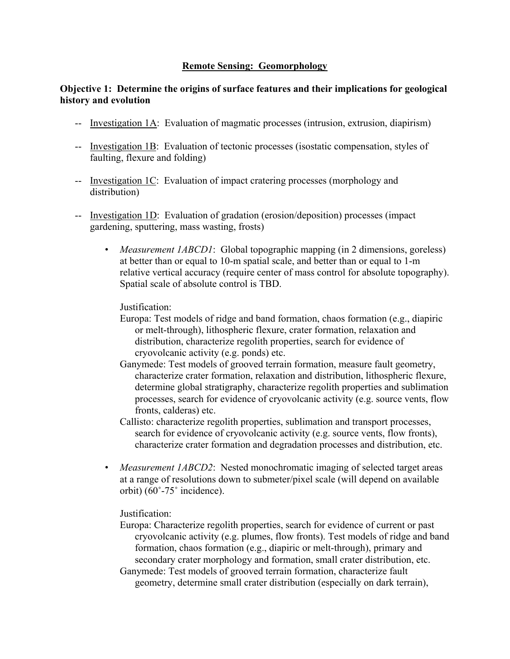#### **Remote Sensing: Geomorphology**

#### **Objective 1: Determine the origins of surface features and their implications for geological history and evolution**

- -- Investigation 1A: Evaluation of magmatic processes (intrusion, extrusion, diapirism)
- -- Investigation 1B: Evaluation of tectonic processes (isostatic compensation, styles of faulting, flexure and folding)
- -- Investigation 1C: Evaluation of impact cratering processes (morphology and distribution)
- -- Investigation 1D: Evaluation of gradation (erosion/deposition) processes (impact gardening, sputtering, mass wasting, frosts)
	- *Measurement 1ABCD1*: Global topographic mapping (in 2 dimensions, goreless) at better than or equal to 10-m spatial scale, and better than or equal to 1-m relative vertical accuracy (require center of mass control for absolute topography). Spatial scale of absolute control is TBD.

Justification:

- Europa: Test models of ridge and band formation, chaos formation (e.g., diapiric or melt-through), lithospheric flexure, crater formation, relaxation and distribution, characterize regolith properties, search for evidence of cryovolcanic activity (e.g. ponds) etc.
- Ganymede: Test models of grooved terrain formation, measure fault geometry, characterize crater formation, relaxation and distribution, lithospheric flexure, determine global stratigraphy, characterize regolith properties and sublimation processes, search for evidence of cryovolcanic activity (e.g. source vents, flow fronts, calderas) etc.
- Callisto: characterize regolith properties, sublimation and transport processes, search for evidence of cryovolcanic activity (e.g. source vents, flow fronts), characterize crater formation and degradation processes and distribution, etc.
- *Measurement 1ABCD2*: Nested monochromatic imaging of selected target areas at a range of resolutions down to submeter/pixel scale (will depend on available orbit) (60˚-75˚ incidence).

Justification:

- Europa: Characterize regolith properties, search for evidence of current or past cryovolcanic activity (e.g. plumes, flow fronts). Test models of ridge and band formation, chaos formation (e.g., diapiric or melt-through), primary and secondary crater morphology and formation, small crater distribution, etc.
- Ganymede: Test models of grooved terrain formation, characterize fault geometry, determine small crater distribution (especially on dark terrain),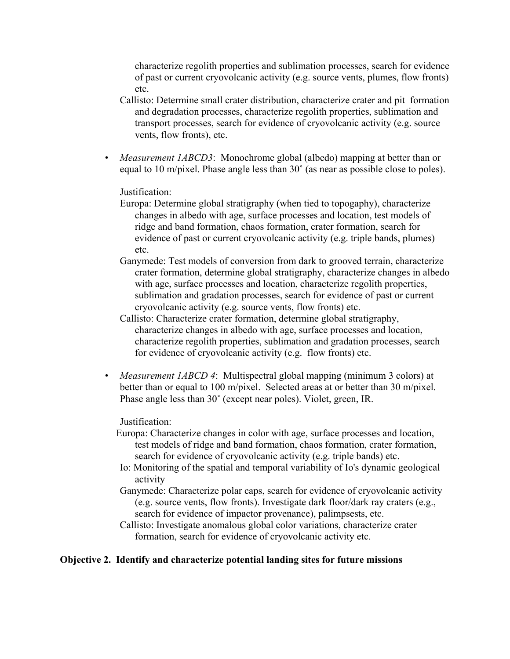characterize regolith properties and sublimation processes, search for evidence of past or current cryovolcanic activity (e.g. source vents, plumes, flow fronts) etc.

- Callisto: Determine small crater distribution, characterize crater and pit formation and degradation processes, characterize regolith properties, sublimation and transport processes, search for evidence of cryovolcanic activity (e.g. source vents, flow fronts), etc.
- *Measurement 1ABCD3*: Monochrome global (albedo) mapping at better than or equal to 10 m/pixel. Phase angle less than 30˚ (as near as possible close to poles).

#### Justification:

- Europa: Determine global stratigraphy (when tied to topogaphy), characterize changes in albedo with age, surface processes and location, test models of ridge and band formation, chaos formation, crater formation, search for evidence of past or current cryovolcanic activity (e.g. triple bands, plumes) etc.
- Ganymede: Test models of conversion from dark to grooved terrain, characterize crater formation, determine global stratigraphy, characterize changes in albedo with age, surface processes and location, characterize regolith properties, sublimation and gradation processes, search for evidence of past or current cryovolcanic activity (e.g. source vents, flow fronts) etc.
- Callisto: Characterize crater formation, determine global stratigraphy, characterize changes in albedo with age, surface processes and location, characterize regolith properties, sublimation and gradation processes, search for evidence of cryovolcanic activity (e.g. flow fronts) etc.
- *Measurement 1ABCD 4*: Multispectral global mapping (minimum 3 colors) at better than or equal to 100 m/pixel. Selected areas at or better than 30 m/pixel. Phase angle less than 30˚ (except near poles). Violet, green, IR.

#### Justification:

- Europa: Characterize changes in color with age, surface processes and location, test models of ridge and band formation, chaos formation, crater formation, search for evidence of cryovolcanic activity (e.g. triple bands) etc.
- Io: Monitoring of the spatial and temporal variability of Io's dynamic geological activity
- Ganymede: Characterize polar caps, search for evidence of cryovolcanic activity (e.g. source vents, flow fronts). Investigate dark floor/dark ray craters (e.g., search for evidence of impactor provenance), palimpsests, etc.
- Callisto: Investigate anomalous global color variations, characterize crater formation, search for evidence of cryovolcanic activity etc.

#### **Objective 2. Identify and characterize potential landing sites for future missions**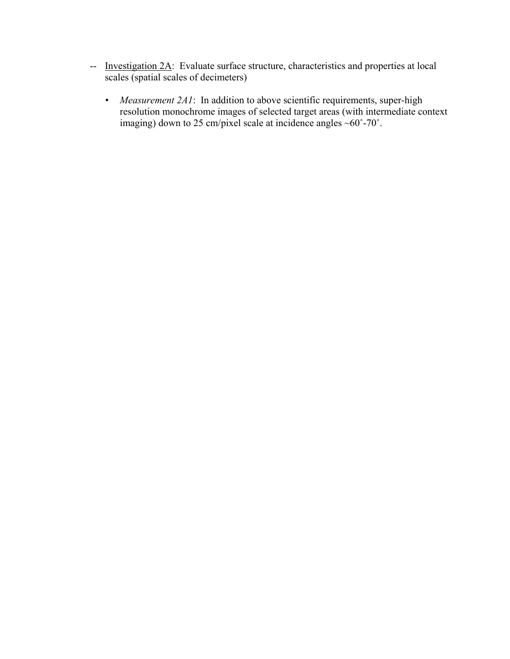- -- Investigation 2A: Evaluate surface structure, characteristics and properties at local scales (spatial scales of decimeters)
	- *Measurement 2A1*: In addition to above scientific requirements, super-high resolution monochrome images of selected target areas (with intermediate context imaging) down to 25 cm/pixel scale at incidence angles  $\sim 60^{\circ}$ -70°.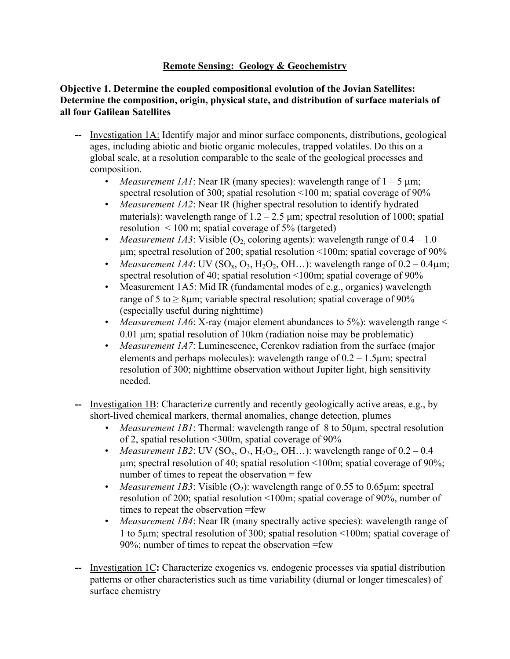## **Remote Sensing: Geology & Geochemistry**

#### **Objective 1. Determine the coupled compositional evolution of the Jovian Satellites: Determine the composition, origin, physical state, and distribution of surface materials of all four Galilean Satellites**

- **--** Investigation 1A: Identify major and minor surface components, distributions, geological ages, including abiotic and biotic organic molecules, trapped volatiles. Do this on a global scale, at a resolution comparable to the scale of the geological processes and composition.
	- *Measurement 1A1*: Near IR (many species): wavelength range of  $1 5 \mu m$ ; spectral resolution of 300; spatial resolution <100 m; spatial coverage of 90%
	- *Measurement 1A2*: Near IR (higher spectral resolution to identify hydrated materials): wavelength range of  $1.2 - 2.5$  µm; spectral resolution of 1000; spatial resolution  $\leq 100$  m; spatial coverage of 5% (targeted)
	- *Measurement 1A3*: Visible  $(O_2)$  coloring agents): wavelength range of  $0.4 1.0$ µm; spectral resolution of 200; spatial resolution <100m; spatial coverage of 90%
	- *Measurement 1A4*: UV ( $SO_x$ ,  $O_3$ ,  $H_2O_2$ ,  $OH$ ...): wavelength range of  $0.2 0.4 \mu m$ ; spectral resolution of 40; spatial resolution <100m; spatial coverage of 90%
	- Measurement 1A5: Mid IR (fundamental modes of e.g., organics) wavelength range of 5 to  $\geq$  8µm; variable spectral resolution; spatial coverage of 90% (especially useful during nighttime)
	- *Measurement 1A6*: X-ray (major element abundances to 5%): wavelength range < 0.01 µm; spatial resolution of 10km (radiation noise may be problematic)
	- *Measurement 1A7*: Luminescence, Cerenkov radiation from the surface (major elements and perhaps molecules): wavelength range of  $0.2 - 1.5 \mu m$ ; spectral resolution of 300; nighttime observation without Jupiter light, high sensitivity needed.
- Investigation 1B: Characterize currently and recently geologically active areas, e.g., by short-lived chemical markers, thermal anomalies, change detection, plumes
	- *Measurement 1B1*: Thermal: wavelength range of 8 to 50µm, spectral resolution of 2, spatial resolution <300m, spatial coverage of 90%
	- *Measurement 1B2*: UV (SO<sub>x</sub>, O<sub>3</sub>, H<sub>2</sub>O<sub>2</sub>, OH...): wavelength range of  $0.2 0.4$  $\mu$ m; spectral resolution of 40; spatial resolution <100m; spatial coverage of 90%; number of times to repeat the observation  $=$  few
	- *Measurement 1B3*: Visible  $(O_2)$ : wavelength range of 0.55 to 0.65 µm; spectral resolution of 200; spatial resolution <100m; spatial coverage of 90%, number of times to repeat the observation =few
	- *Measurement 1B4*: Near IR (many spectrally active species): wavelength range of 1 to 5µm; spectral resolution of 300; spatial resolution <100m; spatial coverage of 90%; number of times to repeat the observation =few
- **--** Investigation 1C**:** Characterize exogenics vs. endogenic processes via spatial distribution patterns or other characteristics such as time variability (diurnal or longer timescales) of surface chemistry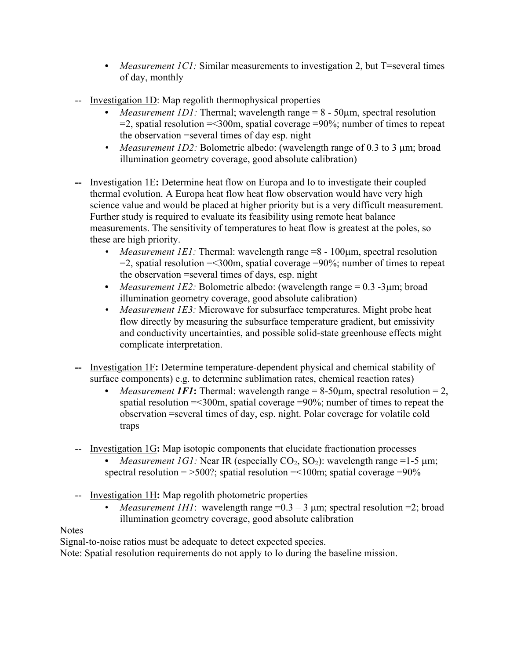- *Measurement 1C1:* Similar measurements to investigation 2, but T=several times of day, monthly
- -- Investigation 1D: Map regolith thermophysical properties
	- *Measurement 1D1:* Thermal; wavelength range = 8 50µm, spectral resolution  $=$ 2, spatial resolution  $=$  <300m, spatial coverage  $=$  90%; number of times to repeat the observation =several times of day esp. night
	- *Measurement 1D2:* Bolometric albedo: (wavelength range of 0.3 to 3 µm; broad illumination geometry coverage, good absolute calibration)
- **--** Investigation 1E**:** Determine heat flow on Europa and Io to investigate their coupled thermal evolution. A Europa heat flow heat flow observation would have very high science value and would be placed at higher priority but is a very difficult measurement. Further study is required to evaluate its feasibility using remote heat balance measurements. The sensitivity of temperatures to heat flow is greatest at the poles, so these are high priority.
	- *Measurement 1E1:* Thermal: wavelength range =8 100µm, spectral resolution  $=$ 2, spatial resolution  $=$  <300m, spatial coverage  $=$  90%; number of times to repeat the observation =several times of days, esp. night
	- *Measurement 1E2:* Bolometric albedo: (wavelength range = 0.3 -3µm; broad illumination geometry coverage, good absolute calibration)
	- *Measurement 1E3:* Microwave for subsurface temperatures. Might probe heat flow directly by measuring the subsurface temperature gradient, but emissivity and conductivity uncertainties, and possible solid-state greenhouse effects might complicate interpretation.
- **--** Investigation 1F**:** Determine temperature-dependent physical and chemical stability of surface components) e.g. to determine sublimation rates, chemical reaction rates)
	- *Measurement 1F1*: Thermal: wavelength range  $= 8-50 \mu m$ , spectral resolution  $= 2$ , spatial resolution =<300m, spatial coverage =90%; number of times to repeat the observation =several times of day, esp. night. Polar coverage for volatile cold traps
- -- Investigation 1G**:** Map isotopic components that elucidate fractionation processes
	- *Measurement 1G1:* Near IR (especially  $CO_2$ ,  $SO_2$ ): wavelength range =1-5  $\mu$ m; spectral resolution =  $>500$ ?; spatial resolution =  $<100$ m; spatial coverage = 90%
- -- Investigation 1H**:** Map regolith photometric properties
	- *Measurement 1H1*: wavelength range  $=0.3 3$  µm; spectral resolution  $=2$ ; broad illumination geometry coverage, good absolute calibration

# **Notes**

Signal-to-noise ratios must be adequate to detect expected species.

Note: Spatial resolution requirements do not apply to Io during the baseline mission.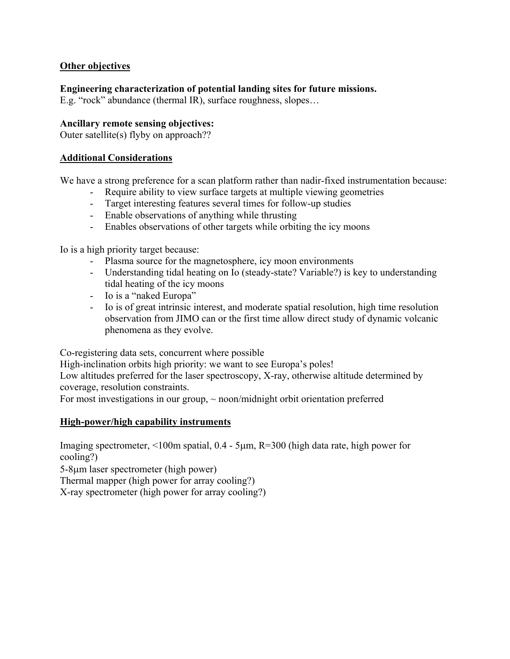#### **Other objectives**

**Engineering characterization of potential landing sites for future missions.** 

E.g. "rock" abundance (thermal IR), surface roughness, slopes…

#### **Ancillary remote sensing objectives:**

Outer satellite(s) flyby on approach??

#### **Additional Considerations**

We have a strong preference for a scan platform rather than nadir-fixed instrumentation because:

- Require ability to view surface targets at multiple viewing geometries
- Target interesting features several times for follow-up studies
- Enable observations of anything while thrusting
- Enables observations of other targets while orbiting the icy moons

Io is a high priority target because:

- Plasma source for the magnetosphere, icy moon environments
- Understanding tidal heating on Io (steady-state? Variable?) is key to understanding tidal heating of the icy moons
- Io is a "naked Europa"
- Io is of great intrinsic interest, and moderate spatial resolution, high time resolution observation from JIMO can or the first time allow direct study of dynamic volcanic phenomena as they evolve.

Co-registering data sets, concurrent where possible

High-inclination orbits high priority: we want to see Europa's poles!

Low altitudes preferred for the laser spectroscopy, X-ray, otherwise altitude determined by coverage, resolution constraints.

For most investigations in our group,  $\sim$  noon/midnight orbit orientation preferred

#### **High-power/high capability instruments**

Imaging spectrometer, <100m spatial, 0.4 - 5µm, R=300 (high data rate, high power for cooling?)

5-8µm laser spectrometer (high power)

Thermal mapper (high power for array cooling?)

X-ray spectrometer (high power for array cooling?)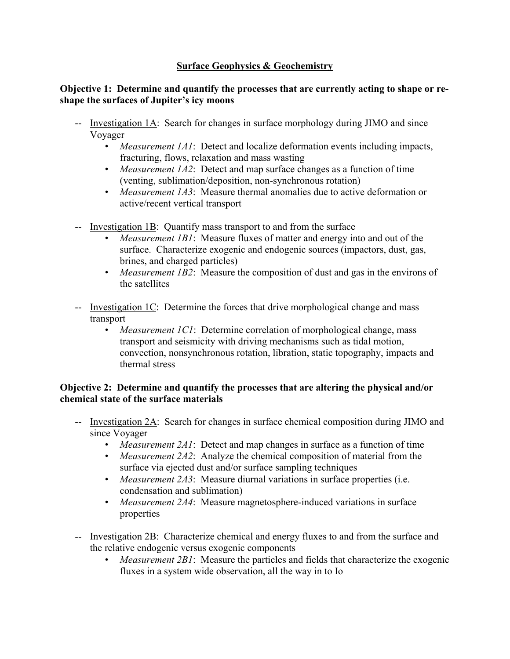## **Surface Geophysics & Geochemistry**

#### **Objective 1: Determine and quantify the processes that are currently acting to shape or reshape the surfaces of Jupiter's icy moons**

- -- Investigation 1A: Search for changes in surface morphology during JIMO and since Voyager
	- *Measurement 1A1*: Detect and localize deformation events including impacts, fracturing, flows, relaxation and mass wasting
	- *Measurement 1A2*: Detect and map surface changes as a function of time (venting, sublimation/deposition, non-synchronous rotation)
	- *Measurement 1A3*: Measure thermal anomalies due to active deformation or active/recent vertical transport
- -- Investigation 1B: Quantify mass transport to and from the surface
	- *Measurement 1B1*: Measure fluxes of matter and energy into and out of the surface. Characterize exogenic and endogenic sources (impactors, dust, gas, brines, and charged particles)
	- *Measurement 1B2*: Measure the composition of dust and gas in the environs of the satellites
- -- Investigation 1C: Determine the forces that drive morphological change and mass transport
	- *Measurement 1C1*: Determine correlation of morphological change, mass transport and seismicity with driving mechanisms such as tidal motion, convection, nonsynchronous rotation, libration, static topography, impacts and thermal stress

## **Objective 2: Determine and quantify the processes that are altering the physical and/or chemical state of the surface materials**

- -- Investigation 2A: Search for changes in surface chemical composition during JIMO and since Voyager
	- *Measurement 2A1*: Detect and map changes in surface as a function of time
	- *Measurement 2A2*: Analyze the chemical composition of material from the surface via ejected dust and/or surface sampling techniques
	- *Measurement 2A3*: Measure diurnal variations in surface properties (i.e. condensation and sublimation)
	- *Measurement 2A4*: Measure magnetosphere-induced variations in surface properties
- -- Investigation 2B: Characterize chemical and energy fluxes to and from the surface and the relative endogenic versus exogenic components
	- *Measurement 2B1*: Measure the particles and fields that characterize the exogenic fluxes in a system wide observation, all the way in to Io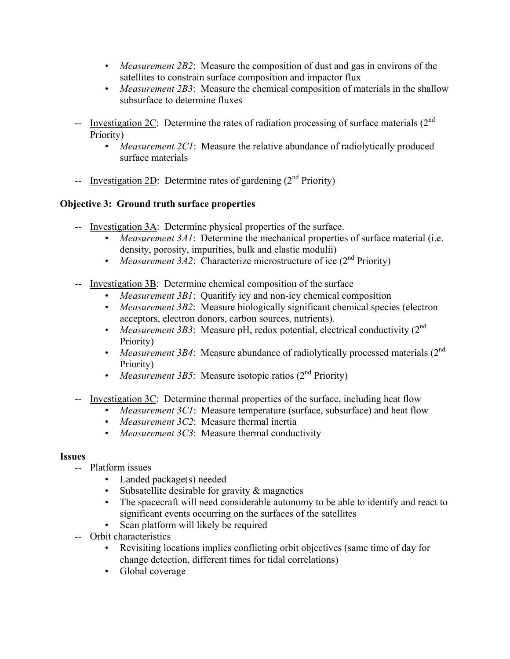- *Measurement 2B2*: Measure the composition of dust and gas in environs of the satellites to constrain surface composition and impactor flux
- *Measurement 2B3*: Measure the chemical composition of materials in the shallow subsurface to determine fluxes
- -- Investigation  $2C$ : Determine the rates of radiation processing of surface materials  $(2<sup>nd</sup>$ Priority)
	- *Measurement 2C1*: Measure the relative abundance of radiolytically produced surface materials
- -- Investigation 2D: Determine rates of gardening  $(2<sup>nd</sup> Priority)$

## **Objective 3: Ground truth surface properties**

- -- Investigation 3A: Determine physical properties of the surface.
	- *Measurement 3A1*: Determine the mechanical properties of surface material (i.e. density, porosity, impurities, bulk and elastic modulii)
	- *Measurement 3A2*: Characterize microstructure of ice (2<sup>nd</sup> Priority)
- -- Investigation 3B: Determine chemical composition of the surface
	- *Measurement 3B1*: Quantify icy and non-icy chemical composition
	- *Measurement 3B2*: Measure biologically significant chemical species (electron acceptors, electron donors, carbon sources, nutrients).
	- *Measurement 3B3*: Measure pH, redox potential, electrical conductivity (2<sup>nd</sup>) Priority)
	- *Measurement 3B4*: Measure abundance of radiolytically processed materials (2<sup>nd</sup>) Priority)
	- *Measurement 3B5*: Measure isotopic ratios (2<sup>nd</sup> Priority)
- -- Investigation 3C: Determine thermal properties of the surface, including heat flow
	- *Measurement 3C1*: Measure temperature (surface, subsurface) and heat flow
	- *Measurement 3C2*: Measure thermal inertia
	- *Measurement 3C3*: Measure thermal conductivity

## **Issues**

- -- Platform issues
	- Landed package(s) needed
	- Subsatellite desirable for gravity & magnetics
	- The spacecraft will need considerable autonomy to be able to identify and react to significant events occurring on the surfaces of the satellites
	- Scan platform will likely be required
- -- Orbit characteristics
	- Revisiting locations implies conflicting orbit objectives (same time of day for change detection, different times for tidal correlations)
	- Global coverage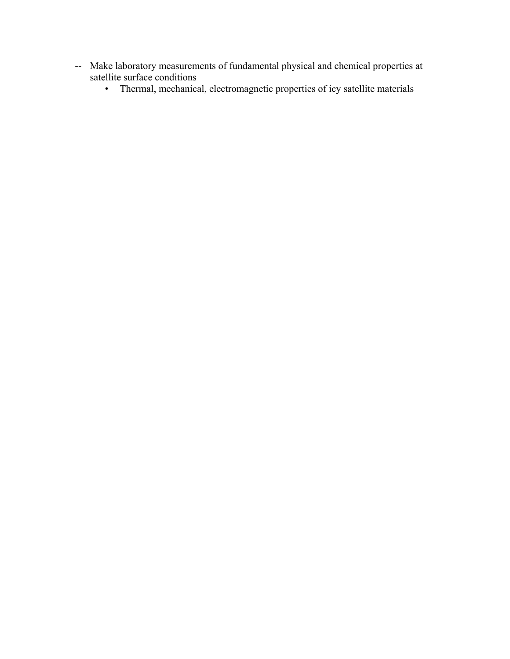- -- Make laboratory measurements of fundamental physical and chemical properties at satellite surface conditions
	- Thermal, mechanical, electromagnetic properties of icy satellite materials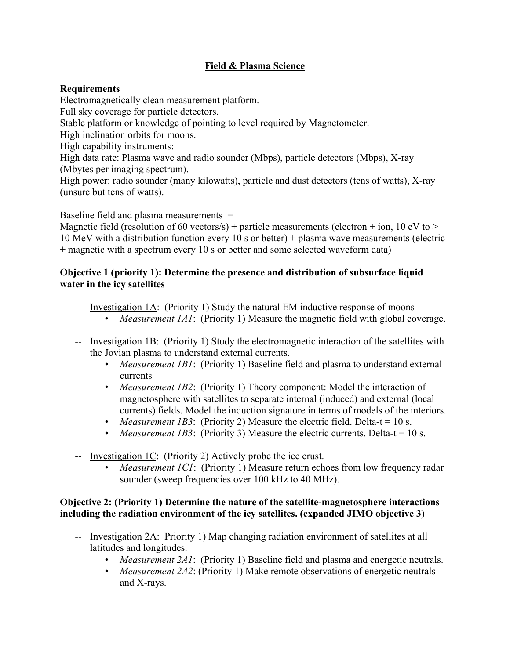## **Field & Plasma Science**

## **Requirements**

Electromagnetically clean measurement platform.

Full sky coverage for particle detectors.

Stable platform or knowledge of pointing to level required by Magnetometer.

High inclination orbits for moons.

High capability instruments:

High data rate: Plasma wave and radio sounder (Mbps), particle detectors (Mbps), X-ray (Mbytes per imaging spectrum).

High power: radio sounder (many kilowatts), particle and dust detectors (tens of watts), X-ray (unsure but tens of watts).

Baseline field and plasma measurements =

Magnetic field (resolution of 60 vectors/s) + particle measurements (electron + ion, 10 eV to > 10 MeV with a distribution function every 10 s or better) + plasma wave measurements (electric + magnetic with a spectrum every 10 s or better and some selected waveform data)

#### **Objective 1 (priority 1): Determine the presence and distribution of subsurface liquid water in the icy satellites**

- -- Investigation 1A: (Priority 1) Study the natural EM inductive response of moons
	- *Measurement 1A1*: (Priority 1) Measure the magnetic field with global coverage.
- -- Investigation 1B: (Priority 1) Study the electromagnetic interaction of the satellites with the Jovian plasma to understand external currents.
	- *Measurement 1B1*: (Priority 1) Baseline field and plasma to understand external currents
	- *Measurement 1B2*: (Priority 1) Theory component: Model the interaction of magnetosphere with satellites to separate internal (induced) and external (local currents) fields. Model the induction signature in terms of models of the interiors.
	- *Measurement 1B3*: (Priority 2) Measure the electric field. Delta-t =  $10 s$ .
	- *Measurement 1B3*: (Priority 3) Measure the electric currents. Delta-t = 10 s.
- -- Investigation 1C: (Priority 2) Actively probe the ice crust.
	- *Measurement 1C1*: (Priority 1) Measure return echoes from low frequency radar sounder (sweep frequencies over 100 kHz to 40 MHz).

#### **Objective 2: (Priority 1) Determine the nature of the satellite-magnetosphere interactions including the radiation environment of the icy satellites. (expanded JIMO objective 3)**

- -- Investigation 2A: Priority 1) Map changing radiation environment of satellites at all latitudes and longitudes.
	- *Measurement 2A1*: (Priority 1) Baseline field and plasma and energetic neutrals.
	- *Measurement 2A2*: (Priority 1) Make remote observations of energetic neutrals and X-rays.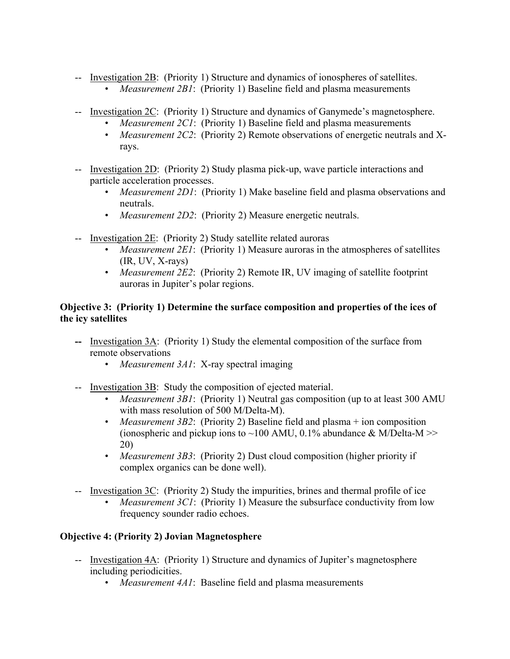-- Investigation 2B: (Priority 1) Structure and dynamics of ionospheres of satellites.

- *Measurement 2B1*: (Priority 1) Baseline field and plasma measurements
- -- Investigation 2C: (Priority 1) Structure and dynamics of Ganymede's magnetosphere.
	- *Measurement 2C1*: (Priority 1) Baseline field and plasma measurements
	- *Measurement 2C2*: (Priority 2) Remote observations of energetic neutrals and Xrays.
- -- Investigation 2D: (Priority 2) Study plasma pick-up, wave particle interactions and particle acceleration processes.
	- *Measurement 2D1*: (Priority 1) Make baseline field and plasma observations and neutrals.
	- *Measurement 2D2*: (Priority 2) Measure energetic neutrals.
- -- Investigation 2E: (Priority 2) Study satellite related auroras
	- *Measurement 2E1*: (Priority 1) Measure auroras in the atmospheres of satellites (IR, UV, X-rays)
	- *Measurement 2E2*: (Priority 2) Remote IR, UV imaging of satellite footprint auroras in Jupiter's polar regions.

## **Objective 3: (Priority 1) Determine the surface composition and properties of the ices of the icy satellites**

- **--** Investigation 3A: (Priority 1) Study the elemental composition of the surface from remote observations
	- *Measurement 3A1*: X-ray spectral imaging
- -- Investigation 3B: Study the composition of ejected material.
	- *Measurement 3B1*: (Priority 1) Neutral gas composition (up to at least 300 AMU with mass resolution of 500 M/Delta-M).
	- *Measurement 3B2*: (Priority 2) Baseline field and plasma + ion composition (ionospheric and pickup ions to ~100 AMU, 0.1% abundance  $&$  M/Delta-M >> 20)
	- *Measurement 3B3*: (Priority 2) Dust cloud composition (higher priority if complex organics can be done well).
- -- Investigation 3C: (Priority 2) Study the impurities, brines and thermal profile of ice
	- *Measurement 3C1*: (Priority 1) Measure the subsurface conductivity from low frequency sounder radio echoes.

## **Objective 4: (Priority 2) Jovian Magnetosphere**

- -- Investigation 4A: (Priority 1) Structure and dynamics of Jupiter's magnetosphere including periodicities.
	- *Measurement 4A1*: Baseline field and plasma measurements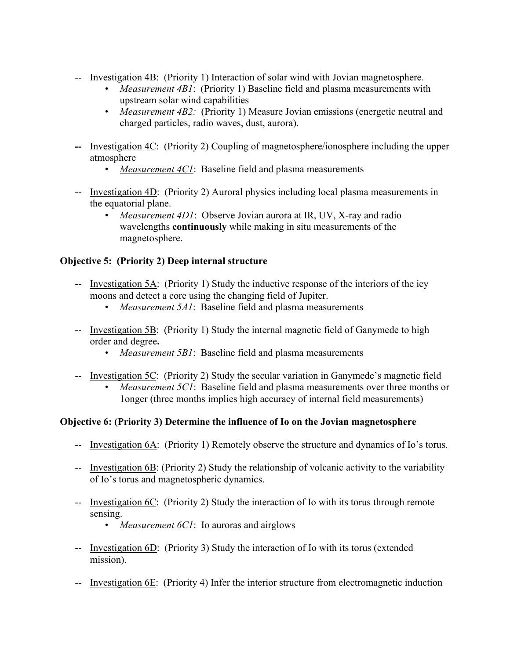- -- Investigation 4B: (Priority 1) Interaction of solar wind with Jovian magnetosphere.
	- *Measurement 4B1*: (Priority 1) Baseline field and plasma measurements with upstream solar wind capabilities
	- *Measurement 4B2*: (Priority 1) Measure Jovian emissions (energetic neutral and charged particles, radio waves, dust, aurora).
- **--** Investigation 4C: (Priority 2) Coupling of magnetosphere/ionosphere including the upper atmosphere
	- *Measurement 4C1*: Baseline field and plasma measurements
- -- Investigation 4D: (Priority 2) Auroral physics including local plasma measurements in the equatorial plane.
	- *Measurement 4D1*: Observe Jovian aurora at IR, UV, X-ray and radio wavelengths **continuously** while making in situ measurements of the magnetosphere.

## **Objective 5: (Priority 2) Deep internal structure**

- -- Investigation 5A: (Priority 1) Study the inductive response of the interiors of the icy moons and detect a core using the changing field of Jupiter.
	- *Measurement 5A1*: Baseline field and plasma measurements
- -- Investigation 5B: (Priority 1) Study the internal magnetic field of Ganymede to high order and degree**.** 
	- *Measurement 5B1*: Baseline field and plasma measurements
- -- Investigation 5C: (Priority 2) Study the secular variation in Ganymede's magnetic field
	- *Measurement 5C1*: Baseline field and plasma measurements over three months or 1onger (three months implies high accuracy of internal field measurements)

## **Objective 6: (Priority 3) Determine the influence of Io on the Jovian magnetosphere**

- -- Investigation 6A: (Priority 1) Remotely observe the structure and dynamics of Io's torus.
- -- Investigation 6B: (Priority 2) Study the relationship of volcanic activity to the variability of Io's torus and magnetospheric dynamics.
- -- Investigation 6C: (Priority 2) Study the interaction of Io with its torus through remote sensing.
	- *Measurement 6C1*: Io auroras and airglows
- -- Investigation 6D: (Priority 3) Study the interaction of Io with its torus (extended mission).
- -- Investigation 6E: (Priority 4) Infer the interior structure from electromagnetic induction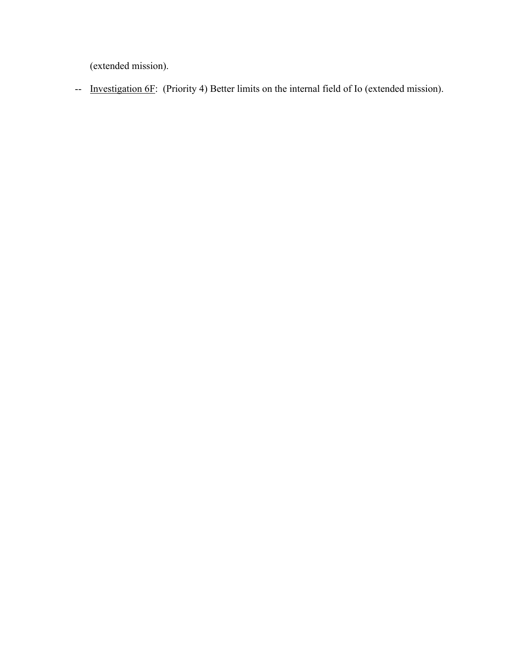(extended mission).

-- <u>Investigation 6F</u>: (Priority 4) Better limits on the internal field of Io (extended mission).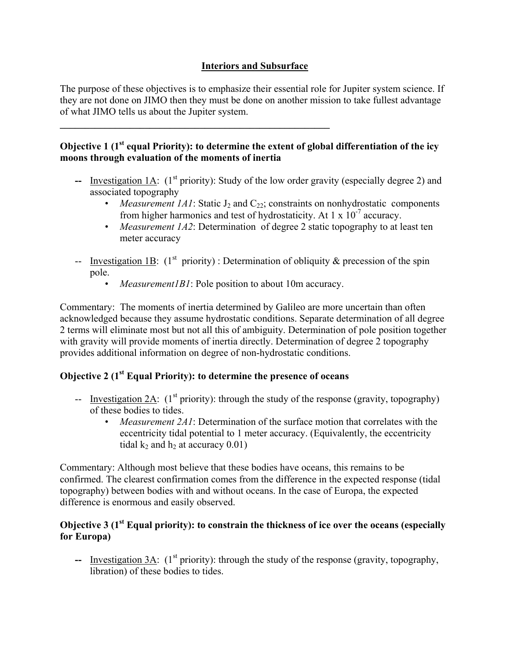## **Interiors and Subsurface**

The purpose of these objectives is to emphasize their essential role for Jupiter system science. If they are not done on JIMO then they must be done on another mission to take fullest advantage of what JIMO tells us about the Jupiter system.

## **Objective 1 (1<sup>st</sup> equal Priority): to determine the extent of global differentiation of the icy moons through evaluation of the moments of inertia**

- **--** Investigation 1A: (1<sup>st</sup> priority): Study of the low order gravity (especially degree 2) and associated topography
	- *Measurement 1A1*: Static  $J_2$  and  $C_{22}$ ; constraints on nonhydrostatic components from higher harmonics and test of hydrostaticity. At  $1 \times 10^{-7}$  accuracy.
	- *Measurement 1A2*: Determination of degree 2 static topography to at least ten meter accuracy
- -- Investigation 1B:  $(1<sup>st</sup> priority)$ : Determination of obliquity & precession of the spin pole.
	- *Measurement1B1*: Pole position to about 10m accuracy.

Commentary: The moments of inertia determined by Galileo are more uncertain than often acknowledged because they assume hydrostatic conditions. Separate determination of all degree 2 terms will eliminate most but not all this of ambiguity. Determination of pole position together with gravity will provide moments of inertia directly. Determination of degree 2 topography provides additional information on degree of non-hydrostatic conditions.

# **Objective 2** (1<sup>st</sup> Equal Priority): to determine the presence of oceans

**\_\_\_\_\_\_\_\_\_\_\_\_\_\_\_\_\_\_\_\_\_\_\_\_\_\_\_\_\_\_\_\_\_\_\_\_\_\_\_\_\_\_\_\_\_\_\_\_\_\_\_\_\_\_** 

- -- Investigation  $2A$ : (1<sup>st</sup> priority): through the study of the response (gravity, topography) of these bodies to tides.
	- *Measurement 2A1*: Determination of the surface motion that correlates with the eccentricity tidal potential to 1 meter accuracy. (Equivalently, the eccentricity tidal  $k_2$  and  $h_2$  at accuracy 0.01)

Commentary: Although most believe that these bodies have oceans, this remains to be confirmed. The clearest confirmation comes from the difference in the expected response (tidal topography) between bodies with and without oceans. In the case of Europa, the expected difference is enormous and easily observed.

## **Objective 3 (1st Equal priority): to constrain the thickness of ice over the oceans (especially for Europa)**

-- Investigation 3A:  $(1^{st}$  priority): through the study of the response (gravity, topography, libration) of these bodies to tides.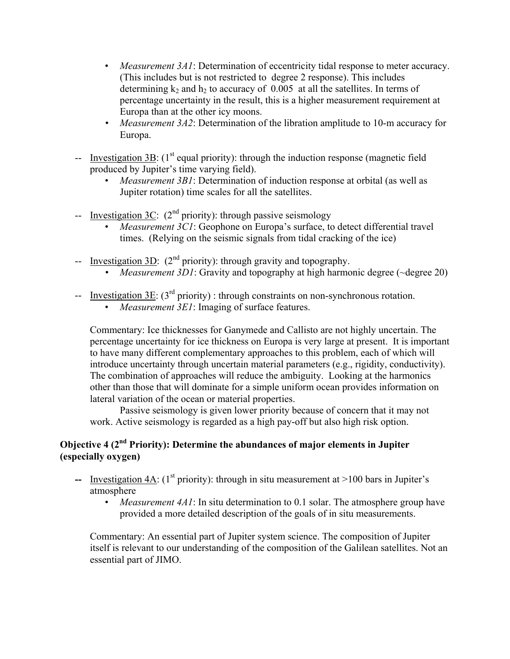- *Measurement 3A1*: Determination of eccentricity tidal response to meter accuracy. (This includes but is not restricted to degree 2 response). This includes determining  $k_2$  and  $h_2$  to accuracy of 0.005 at all the satellites. In terms of percentage uncertainty in the result, this is a higher measurement requirement at Europa than at the other icy moons.
- *Measurement 3A2*: Determination of the libration amplitude to 10-m accuracy for Europa.
- -- Investigation 3B:  $(1<sup>st</sup>$  equal priority): through the induction response (magnetic field produced by Jupiter's time varying field).
	- *Measurement 3B1*: Determination of induction response at orbital (as well as Jupiter rotation) time scales for all the satellites.
- -- Investigation 3C:  $(2^{nd}$  priority): through passive seismology
	- *Measurement 3C1*: Geophone on Europa's surface, to detect differential travel times. (Relying on the seismic signals from tidal cracking of the ice)
- -- Investigation  $3D$ :  $(2^{nd}$  priority): through gravity and topography.
	- *Measurement 3D1*: Gravity and topography at high harmonic degree (~degree 20)
- -- Investigation 3E:  $(3<sup>rd</sup> priority)$ : through constraints on non-synchronous rotation.
	- *Measurement 3E1*: Imaging of surface features.

Commentary: Ice thicknesses for Ganymede and Callisto are not highly uncertain. The percentage uncertainty for ice thickness on Europa is very large at present. It is important to have many different complementary approaches to this problem, each of which will introduce uncertainty through uncertain material parameters (e.g., rigidity, conductivity). The combination of approaches will reduce the ambiguity. Looking at the harmonics other than those that will dominate for a simple uniform ocean provides information on lateral variation of the ocean or material properties.

Passive seismology is given lower priority because of concern that it may not work. Active seismology is regarded as a high pay-off but also high risk option.

## **Objective 4 (2<sup>nd</sup> Priority): Determine the abundances of major elements in Jupiter (especially oxygen)**

- **--** Investigation 4A:  $(1^{st}$  priority): through in situ measurement at  $>100$  bars in Jupiter's atmosphere
	- *Measurement 4A1*: In situ determination to 0.1 solar. The atmosphere group have provided a more detailed description of the goals of in situ measurements.

Commentary: An essential part of Jupiter system science. The composition of Jupiter itself is relevant to our understanding of the composition of the Galilean satellites. Not an essential part of JIMO.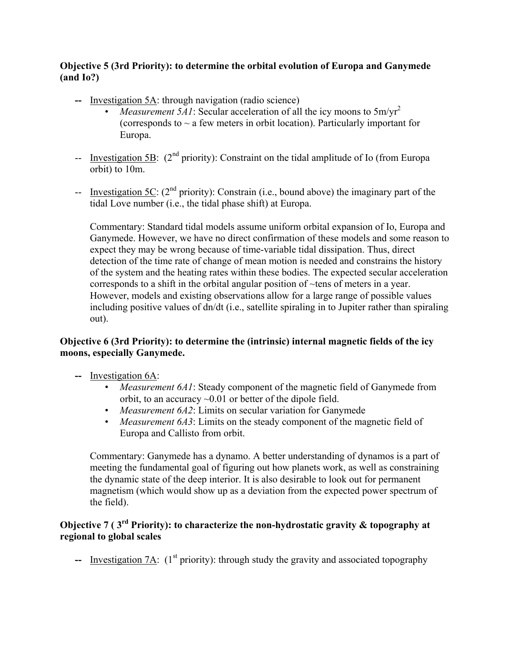## **Objective 5 (3rd Priority): to determine the orbital evolution of Europa and Ganymede (and Io?)**

- **--** Investigation 5A: through navigation (radio science)
	- *Measurement 5A1*: Secular acceleration of all the icy moons to  $5m/vr^2$ (corresponds to  $\sim$  a few meters in orbit location). Particularly important for Europa.
- -- Investigation 5B:  $(2^{nd}$  priority): Constraint on the tidal amplitude of Io (from Europa orbit) to 10m.
- -- Investigation  $5C$ : ( $2<sup>nd</sup>$  priority): Constrain (i.e., bound above) the imaginary part of the tidal Love number (i.e., the tidal phase shift) at Europa.

Commentary: Standard tidal models assume uniform orbital expansion of Io, Europa and Ganymede. However, we have no direct confirmation of these models and some reason to expect they may be wrong because of time-variable tidal dissipation. Thus, direct detection of the time rate of change of mean motion is needed and constrains the history of the system and the heating rates within these bodies. The expected secular acceleration corresponds to a shift in the orbital angular position of ~tens of meters in a year. However, models and existing observations allow for a large range of possible values including positive values of dn/dt (i.e., satellite spiraling in to Jupiter rather than spiraling out).

## **Objective 6 (3rd Priority): to determine the (intrinsic) internal magnetic fields of the icy moons, especially Ganymede.**

- **--** Investigation 6A:
	- *Measurement 6A1*: Steady component of the magnetic field of Ganymede from orbit, to an accuracy ~0.01 or better of the dipole field.
	- *Measurement 6A2*: Limits on secular variation for Ganymede
	- *Measurement 6A3*: Limits on the steady component of the magnetic field of Europa and Callisto from orbit.

Commentary: Ganymede has a dynamo. A better understanding of dynamos is a part of meeting the fundamental goal of figuring out how planets work, as well as constraining the dynamic state of the deep interior. It is also desirable to look out for permanent magnetism (which would show up as a deviation from the expected power spectrum of the field).

## **Objective 7 ( 3rd Priority): to characterize the non-hydrostatic gravity & topography at regional to global scales**

 $\blacksquare$  Investigation 7A: (1<sup>st</sup> priority): through study the gravity and associated topography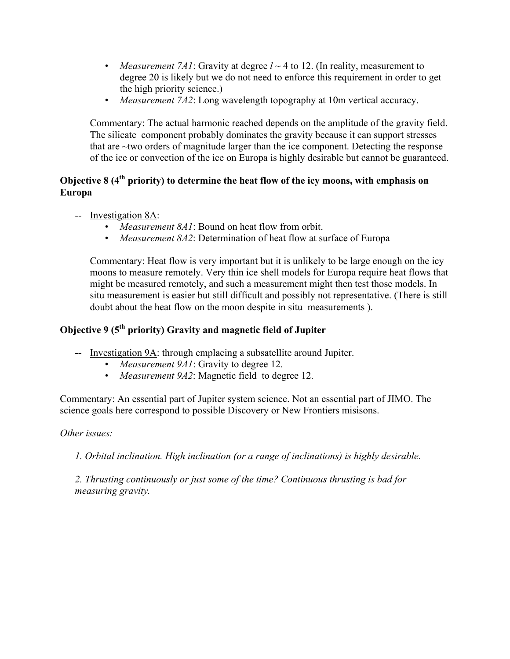- *Measurement 7A1*: Gravity at degree  $l \sim 4$  to 12. (In reality, measurement to degree 20 is likely but we do not need to enforce this requirement in order to get the high priority science.)
- *Measurement 7A2*: Long wavelength topography at 10m vertical accuracy.

Commentary: The actual harmonic reached depends on the amplitude of the gravity field. The silicate component probably dominates the gravity because it can support stresses that are ~two orders of magnitude larger than the ice component. Detecting the response of the ice or convection of the ice on Europa is highly desirable but cannot be guaranteed.

## **Objective 8 (4<sup>th</sup> priority) to determine the heat flow of the icy moons, with emphasis on Europa**

- -- Investigation 8A:
	- *Measurement 8A1*: Bound on heat flow from orbit.
	- *Measurement 8A2*: Determination of heat flow at surface of Europa

Commentary: Heat flow is very important but it is unlikely to be large enough on the icy moons to measure remotely. Very thin ice shell models for Europa require heat flows that might be measured remotely, and such a measurement might then test those models. In situ measurement is easier but still difficult and possibly not representative. (There is still doubt about the heat flow on the moon despite in situ measurements ).

## **Objective 9 (5<sup>th</sup> priority) Gravity and magnetic field of Jupiter**

- **--** Investigation 9A: through emplacing a subsatellite around Jupiter.
	- *Measurement 9A1*: Gravity to degree 12.
	- *Measurement 9A2*: Magnetic field to degree 12.

Commentary: An essential part of Jupiter system science. Not an essential part of JIMO. The science goals here correspond to possible Discovery or New Frontiers misisons.

## *Other issues:*

*1. Orbital inclination. High inclination (or a range of inclinations) is highly desirable.* 

*2. Thrusting continuously or just some of the time? Continuous thrusting is bad for measuring gravity.*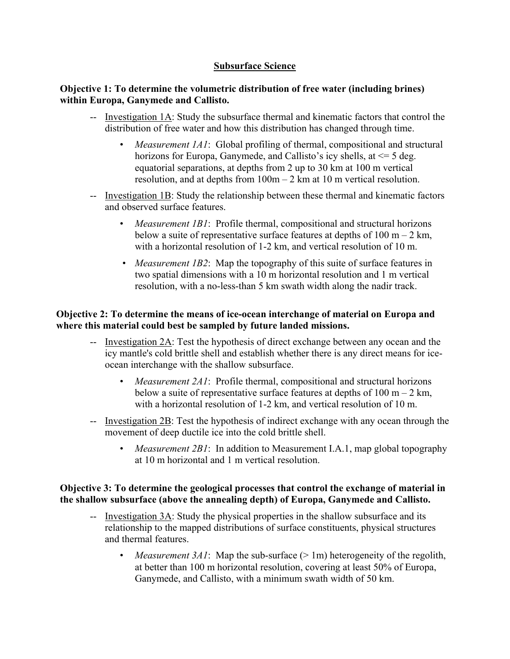## **Subsurface Science**

#### **Objective 1: To determine the volumetric distribution of free water (including brines) within Europa, Ganymede and Callisto.**

- -- Investigation 1A: Study the subsurface thermal and kinematic factors that control the distribution of free water and how this distribution has changed through time.
	- *Measurement 1A1*: Global profiling of thermal, compositional and structural horizons for Europa, Ganymede, and Callisto's icy shells, at  $\leq$  5 deg. equatorial separations, at depths from 2 up to 30 km at 100 m vertical resolution, and at depths from 100m – 2 km at 10 m vertical resolution.
- -- Investigation 1B: Study the relationship between these thermal and kinematic factors and observed surface features.
	- *Measurement 1B1*: Profile thermal, compositional and structural horizons below a suite of representative surface features at depths of  $100 \text{ m} - 2 \text{ km}$ , with a horizontal resolution of 1-2 km, and vertical resolution of 10 m.
	- *Measurement 1B2*: Map the topography of this suite of surface features in two spatial dimensions with a 10 m horizontal resolution and 1 m vertical resolution, with a no-less-than 5 km swath width along the nadir track.

## **Objective 2: To determine the means of ice-ocean interchange of material on Europa and where this material could best be sampled by future landed missions.**

- -- Investigation 2A: Test the hypothesis of direct exchange between any ocean and the icy mantle's cold brittle shell and establish whether there is any direct means for iceocean interchange with the shallow subsurface.
	- *Measurement 2A1*: Profile thermal, compositional and structural horizons below a suite of representative surface features at depths of  $100 \text{ m} - 2 \text{ km}$ , with a horizontal resolution of 1-2 km, and vertical resolution of 10 m.
- -- Investigation 2B: Test the hypothesis of indirect exchange with any ocean through the movement of deep ductile ice into the cold brittle shell.
	- *Measurement 2B1*: In addition to Measurement I.A.1, map global topography at 10 m horizontal and 1 m vertical resolution.

## **Objective 3: To determine the geological processes that control the exchange of material in the shallow subsurface (above the annealing depth) of Europa, Ganymede and Callisto.**

- -- Investigation 3A: Study the physical properties in the shallow subsurface and its relationship to the mapped distributions of surface constituents, physical structures and thermal features.
	- *Measurement 3A1*: Map the sub-surface  $(> 1m)$  heterogeneity of the regolith, at better than 100 m horizontal resolution, covering at least 50% of Europa, Ganymede, and Callisto, with a minimum swath width of 50 km.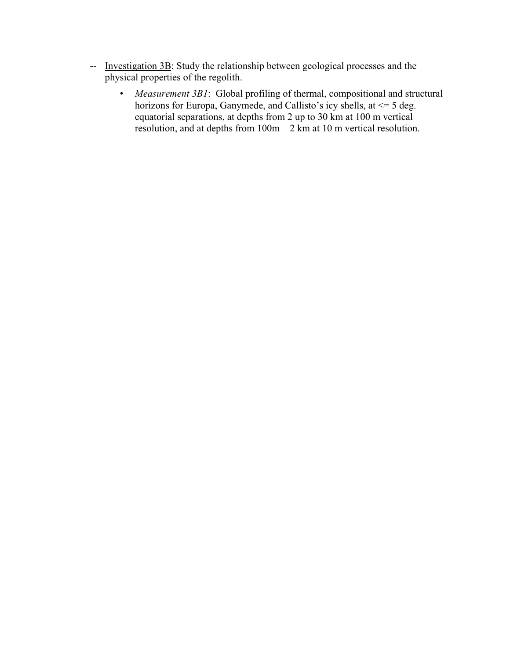- -- Investigation 3B: Study the relationship between geological processes and the physical properties of the regolith.
	- *Measurement 3B1*: Global profiling of thermal, compositional and structural horizons for Europa, Ganymede, and Callisto's icy shells, at  $\leq$  5 deg. equatorial separations, at depths from 2 up to 30 km at 100 m vertical resolution, and at depths from 100m – 2 km at 10 m vertical resolution.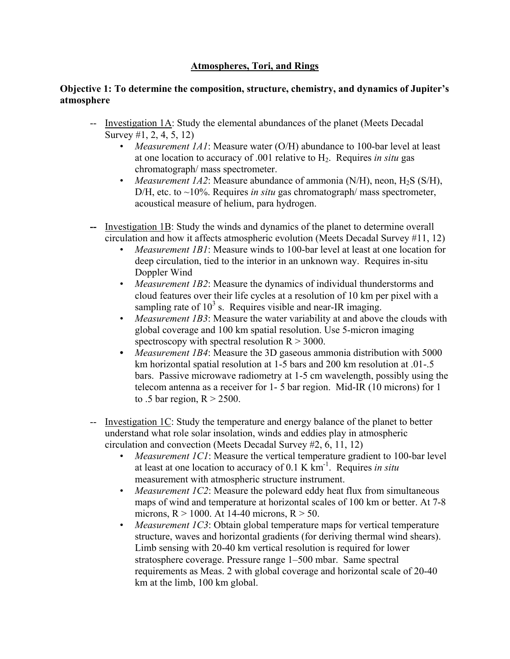## **Atmospheres, Tori, and Rings**

#### **Objective 1: To determine the composition, structure, chemistry, and dynamics of Jupiter's atmosphere**

- -- Investigation 1A: Study the elemental abundances of the planet (Meets Decadal Survey #1, 2, 4, 5, 12)
	- *Measurement 1A1*: Measure water (O/H) abundance to 100-bar level at least at one location to accuracy of .001 relative to H2. Requires *in situ* gas chromatograph/ mass spectrometer.
	- *Measurement 1A2*: Measure abundance of ammonia (N/H), neon, H<sub>2</sub>S (S/H), D/H, etc. to ~10%. Requires *in situ* gas chromatograph/ mass spectrometer, acoustical measure of helium, para hydrogen.
- **--** Investigation 1B: Study the winds and dynamics of the planet to determine overall circulation and how it affects atmospheric evolution (Meets Decadal Survey #11, 12)
	- *Measurement 1B1*: Measure winds to 100-bar level at least at one location for deep circulation, tied to the interior in an unknown way. Requires in-situ Doppler Wind
	- *Measurement 1B2*: Measure the dynamics of individual thunderstorms and cloud features over their life cycles at a resolution of 10 km per pixel with a sampling rate of  $10^3$  s. Requires visible and near-IR imaging.
	- *Measurement 1B3*: Measure the water variability at and above the clouds with global coverage and 100 km spatial resolution. Use 5-micron imaging spectroscopy with spectral resolution  $R > 3000$ .
	- *Measurement 1B4*: Measure the 3D gaseous ammonia distribution with 5000 km horizontal spatial resolution at 1-5 bars and 200 km resolution at .01-.5 bars. Passive microwave radiometry at 1-5 cm wavelength, possibly using the telecom antenna as a receiver for 1- 5 bar region. Mid-IR (10 microns) for 1 to .5 bar region,  $R > 2500$ .
- -- Investigation 1C: Study the temperature and energy balance of the planet to better understand what role solar insolation, winds and eddies play in atmospheric circulation and convection (Meets Decadal Survey #2, 6, 11, 12)
	- *Measurement 1C1*: Measure the vertical temperature gradient to 100-bar level at least at one location to accuracy of 0.1 K km-1. Requires *in situ* measurement with atmospheric structure instrument.
	- *Measurement 1C2*: Measure the poleward eddy heat flux from simultaneous maps of wind and temperature at horizontal scales of 100 km or better. At 7-8 microns,  $R > 1000$ . At 14-40 microns,  $R > 50$ .
	- *Measurement 1C3*: Obtain global temperature maps for vertical temperature structure, waves and horizontal gradients (for deriving thermal wind shears). Limb sensing with 20-40 km vertical resolution is required for lower stratosphere coverage. Pressure range 1–500 mbar. Same spectral requirements as Meas. 2 with global coverage and horizontal scale of 20-40 km at the limb, 100 km global.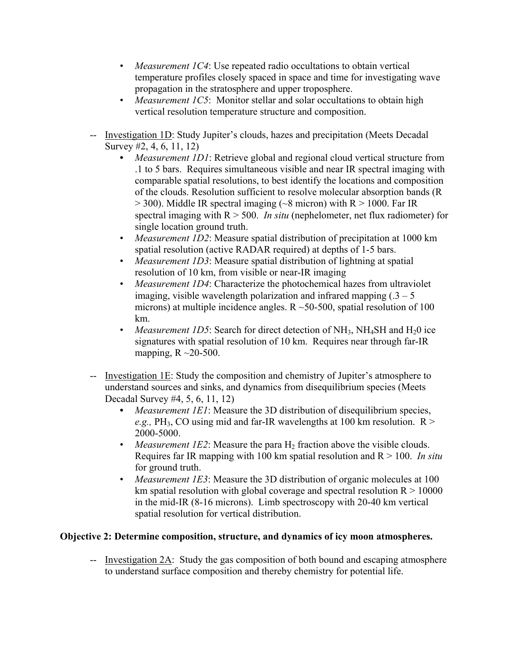- *Measurement 1C4*: Use repeated radio occultations to obtain vertical temperature profiles closely spaced in space and time for investigating wave propagation in the stratosphere and upper troposphere.
- *Measurement 1C5*: Monitor stellar and solar occultations to obtain high vertical resolution temperature structure and composition.
- -- Investigation 1D: Study Jupiter's clouds, hazes and precipitation (Meets Decadal Survey #2, 4, 6, 11, 12)
	- *Measurement 1D1*: Retrieve global and regional cloud vertical structure from .1 to 5 bars. Requires simultaneous visible and near IR spectral imaging with comparable spatial resolutions, to best identify the locations and composition of the clouds. Resolution sufficient to resolve molecular absorption bands (R  $>$  300). Middle IR spectral imaging ( $\sim$ 8 micron) with R $>$  1000. Far IR spectral imaging with R > 500. *In situ* (nephelometer, net flux radiometer) for single location ground truth.
	- *Measurement 1D2*: Measure spatial distribution of precipitation at 1000 km spatial resolution (active RADAR required) at depths of 1-5 bars.
	- *Measurement 1D3*: Measure spatial distribution of lightning at spatial resolution of 10 km, from visible or near-IR imaging
	- *Measurement 1D4*: Characterize the photochemical hazes from ultraviolet imaging, visible wavelength polarization and infrared mapping  $(.3 - 5)$ microns) at multiple incidence angles.  $R \sim 50-500$ , spatial resolution of 100 km.
	- *Measurement 1D5*: Search for direct detection of NH<sub>3</sub>, NH<sub>4</sub>SH and H<sub>2</sub>0 ice signatures with spatial resolution of 10 km. Requires near through far-IR mapping,  $R \sim 20-500$ .
- -- Investigation 1E: Study the composition and chemistry of Jupiter's atmosphere to understand sources and sinks, and dynamics from disequilibrium species (Meets Decadal Survey #4, 5, 6, 11, 12)
	- *Measurement 1E1*: Measure the 3D distribution of disequilibrium species, *e.g.*,  $PH_3$ , CO using mid and far-IR wavelengths at 100 km resolution.  $R >$ 2000-5000.
	- *Measurement 1E2*: Measure the para  $H_2$  fraction above the visible clouds. Requires far IR mapping with 100 km spatial resolution and R > 100. *In situ* for ground truth.
	- *Measurement 1E3*: Measure the 3D distribution of organic molecules at 100 km spatial resolution with global coverage and spectral resolution  $R > 10000$ in the mid-IR (8-16 microns). Limb spectroscopy with 20-40 km vertical spatial resolution for vertical distribution.

## **Objective 2: Determine composition, structure, and dynamics of icy moon atmospheres.**

-- Investigation 2A: Study the gas composition of both bound and escaping atmosphere to understand surface composition and thereby chemistry for potential life.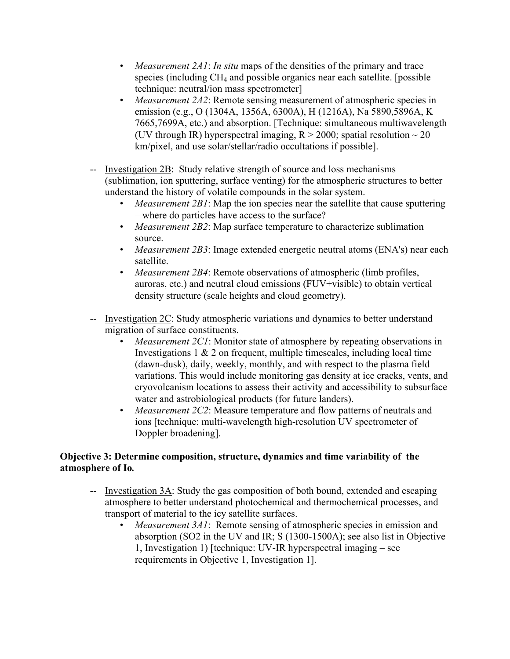- *Measurement 2A1*: *In situ* maps of the densities of the primary and trace species (including CH4 and possible organics near each satellite. [possible technique: neutral/ion mass spectrometer]
- *Measurement 2A2*: Remote sensing measurement of atmospheric species in emission (e.g., O (1304A, 1356A, 6300A), H (1216A), Na 5890,5896A, K 7665,7699A, etc.) and absorption. [Technique: simultaneous multiwavelength (UV through IR) hyperspectral imaging,  $R > 2000$ ; spatial resolution  $\sim 20$ km/pixel, and use solar/stellar/radio occultations if possible].
- -- Investigation 2B: Study relative strength of source and loss mechanisms (sublimation, ion sputtering, surface venting) for the atmospheric structures to better understand the history of volatile compounds in the solar system.
	- *Measurement 2B1*: Map the ion species near the satellite that cause sputtering – where do particles have access to the surface?
	- *Measurement 2B2*: Map surface temperature to characterize sublimation source.
	- *Measurement 2B3*: Image extended energetic neutral atoms (ENA's) near each satellite.
	- *Measurement 2B4*: Remote observations of atmospheric (limb profiles, auroras, etc.) and neutral cloud emissions (FUV+visible) to obtain vertical density structure (scale heights and cloud geometry).
- -- Investigation 2C: Study atmospheric variations and dynamics to better understand migration of surface constituents.
	- *Measurement 2C1*: Monitor state of atmosphere by repeating observations in Investigations  $1 \& 2$  on frequent, multiple timescales, including local time (dawn-dusk), daily, weekly, monthly, and with respect to the plasma field variations. This would include monitoring gas density at ice cracks, vents, and cryovolcanism locations to assess their activity and accessibility to subsurface water and astrobiological products (for future landers).
	- *Measurement 2C2*: Measure temperature and flow patterns of neutrals and ions [technique: multi-wavelength high-resolution UV spectrometer of Doppler broadening].

## **Objective 3: Determine composition, structure, dynamics and time variability of the atmosphere of Io***.*

- -- Investigation 3A: Study the gas composition of both bound, extended and escaping atmosphere to better understand photochemical and thermochemical processes, and transport of material to the icy satellite surfaces.
	- *Measurement 3A1*: Remote sensing of atmospheric species in emission and absorption (SO2 in the UV and IR; S (1300-1500A); see also list in Objective 1, Investigation 1) [technique: UV-IR hyperspectral imaging – see requirements in Objective 1, Investigation 1].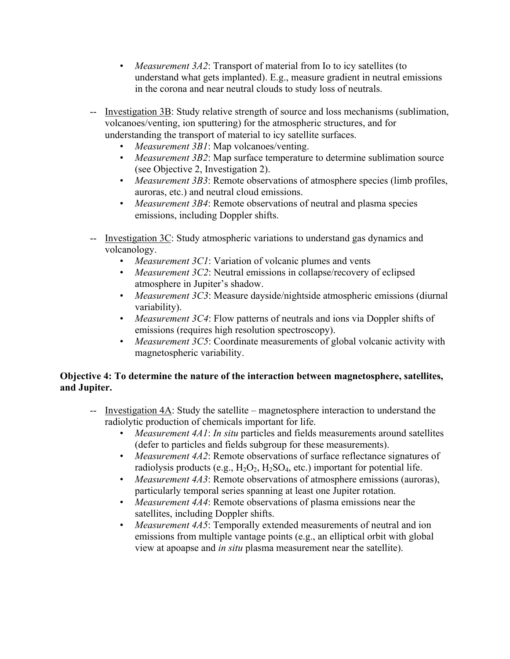- *Measurement 3A2*: Transport of material from Io to icy satellites (to understand what gets implanted). E.g., measure gradient in neutral emissions in the corona and near neutral clouds to study loss of neutrals.
- -- Investigation 3B: Study relative strength of source and loss mechanisms (sublimation, volcanoes/venting, ion sputtering) for the atmospheric structures, and for understanding the transport of material to icy satellite surfaces.
	- *Measurement 3B1*: Map volcanoes/venting.
	- *Measurement 3B2*: Map surface temperature to determine sublimation source (see Objective 2, Investigation 2).
	- *Measurement 3B3*: Remote observations of atmosphere species (limb profiles, auroras, etc.) and neutral cloud emissions.
	- *Measurement 3B4*: Remote observations of neutral and plasma species emissions, including Doppler shifts.
- -- Investigation 3C: Study atmospheric variations to understand gas dynamics and volcanology.
	- *Measurement 3C1*: Variation of volcanic plumes and vents
	- *Measurement 3C2*: Neutral emissions in collapse/recovery of eclipsed atmosphere in Jupiter's shadow.
	- *Measurement 3C3*: Measure dayside/nightside atmospheric emissions (diurnal variability).
	- *Measurement 3C4*: Flow patterns of neutrals and ions via Doppler shifts of emissions (requires high resolution spectroscopy).
	- *Measurement 3C5*: Coordinate measurements of global volcanic activity with magnetospheric variability.

## **Objective 4: To determine the nature of the interaction between magnetosphere, satellites, and Jupiter.**

- -- Investigation 4A: Study the satellite magnetosphere interaction to understand the radiolytic production of chemicals important for life.
	- *Measurement 4A1*: *In situ* particles and fields measurements around satellites (defer to particles and fields subgroup for these measurements).
	- *Measurement 4A2*: Remote observations of surface reflectance signatures of radiolysis products (e.g.,  $H_2O_2$ ,  $H_2SO_4$ , etc.) important for potential life.
	- *Measurement 4A3*: Remote observations of atmosphere emissions (auroras), particularly temporal series spanning at least one Jupiter rotation.
	- *Measurement 4A4*: Remote observations of plasma emissions near the satellites, including Doppler shifts.
	- *Measurement 4A5*: Temporally extended measurements of neutral and ion emissions from multiple vantage points (e.g., an elliptical orbit with global view at apoapse and *in situ* plasma measurement near the satellite).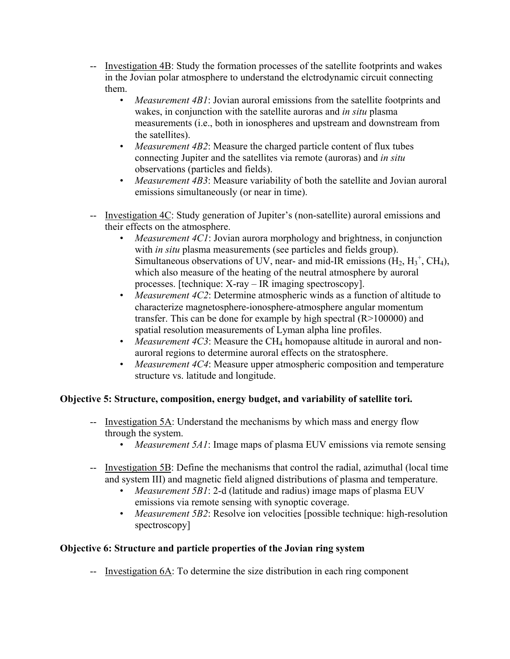- -- Investigation 4B: Study the formation processes of the satellite footprints and wakes in the Jovian polar atmosphere to understand the elctrodynamic circuit connecting them.
	- *Measurement 4B1*: Jovian auroral emissions from the satellite footprints and wakes, in conjunction with the satellite auroras and *in situ* plasma measurements (i.e., both in ionospheres and upstream and downstream from the satellites).
	- *Measurement 4B2*: Measure the charged particle content of flux tubes connecting Jupiter and the satellites via remote (auroras) and *in situ* observations (particles and fields).
	- *Measurement 4B3*: Measure variability of both the satellite and Jovian auroral emissions simultaneously (or near in time).
- -- Investigation 4C: Study generation of Jupiter's (non-satellite) auroral emissions and their effects on the atmosphere.
	- *Measurement 4C1*: Jovian aurora morphology and brightness, in conjunction with *in situ* plasma measurements (see particles and fields group). Simultaneous observations of UV, near- and mid-IR emissions  $(H_2, H_3^+, CH_4)$ , which also measure of the heating of the neutral atmosphere by auroral processes. [technique: X-ray – IR imaging spectroscopy].
	- *Measurement 4C2*: Determine atmospheric winds as a function of altitude to characterize magnetosphere-ionosphere-atmosphere angular momentum transfer. This can be done for example by high spectral (R>100000) and spatial resolution measurements of Lyman alpha line profiles.
	- *Measurement 4C3*: Measure the CH<sub>4</sub> homopause altitude in auroral and nonauroral regions to determine auroral effects on the stratosphere.
	- *Measurement 4C4*: Measure upper atmospheric composition and temperature structure vs. latitude and longitude.

## **Objective 5: Structure, composition, energy budget, and variability of satellite tori.**

- -- Investigation 5A: Understand the mechanisms by which mass and energy flow through the system.
	- *Measurement 5A1*: Image maps of plasma EUV emissions via remote sensing
- -- Investigation 5B: Define the mechanisms that control the radial, azimuthal (local time and system III) and magnetic field aligned distributions of plasma and temperature.
	- *Measurement 5B1*: 2-d (latitude and radius) image maps of plasma EUV emissions via remote sensing with synoptic coverage.
	- *Measurement 5B2*: Resolve ion velocities [possible technique: high-resolution spectroscopy]

# **Objective 6: Structure and particle properties of the Jovian ring system**

-- Investigation 6A: To determine the size distribution in each ring component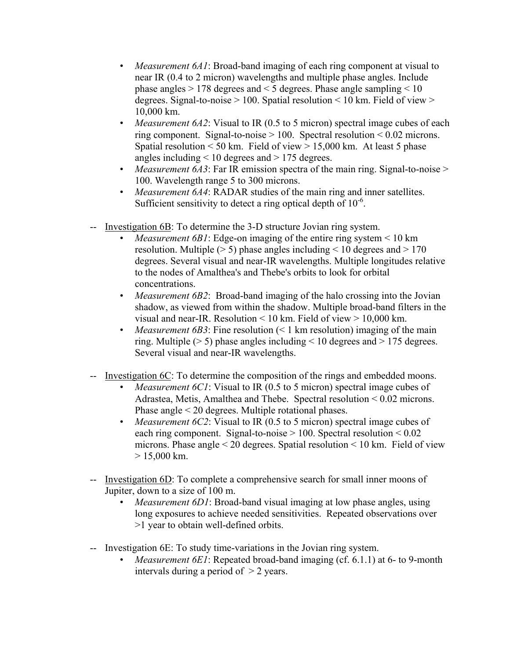- *Measurement 6A1*: Broad-band imaging of each ring component at visual to near IR (0.4 to 2 micron) wavelengths and multiple phase angles. Include phase angles > 178 degrees and < 5 degrees. Phase angle sampling < 10 degrees. Signal-to-noise  $> 100$ . Spatial resolution  $< 10$  km. Field of view  $>$ 10,000 km.
- *Measurement 6A2*: Visual to IR (0.5 to 5 micron) spectral image cubes of each ring component. Signal-to-noise  $> 100$ . Spectral resolution  $< 0.02$  microns. Spatial resolution  $\leq 50$  km. Field of view  $> 15,000$  km. At least 5 phase angles including  $\leq 10$  degrees and  $\geq 175$  degrees.
- *Measurement 6A3*: Far IR emission spectra of the main ring. Signal-to-noise > 100. Wavelength range 5 to 300 microns.
- *Measurement 6A4*: RADAR studies of the main ring and inner satellites. Sufficient sensitivity to detect a ring optical depth of  $10^{-6}$ .
- -- Investigation 6B: To determine the 3-D structure Jovian ring system.
	- *Measurement 6B1*: Edge-on imaging of the entire ring system < 10 km resolution. Multiple ( $> 5$ ) phase angles including  $< 10$  degrees and  $> 170$ degrees. Several visual and near-IR wavelengths. Multiple longitudes relative to the nodes of Amalthea's and Thebe's orbits to look for orbital concentrations.
	- *Measurement 6B2*: Broad-band imaging of the halo crossing into the Jovian shadow, as viewed from within the shadow. Multiple broad-band filters in the visual and near-IR. Resolution < 10 km. Field of view > 10,000 km.
	- *Measurement 6B3*: Fine resolution (< 1 km resolution) imaging of the main ring. Multiple ( $> 5$ ) phase angles including  $< 10$  degrees and  $> 175$  degrees. Several visual and near-IR wavelengths.
- Investigation 6C: To determine the composition of the rings and embedded moons.
	- *Measurement 6C1*: Visual to IR (0.5 to 5 micron) spectral image cubes of Adrastea, Metis, Amalthea and Thebe. Spectral resolution < 0.02 microns. Phase angle < 20 degrees. Multiple rotational phases.
	- *Measurement 6C2*: Visual to IR (0.5 to 5 micron) spectral image cubes of each ring component. Signal-to-noise > 100. Spectral resolution < 0.02 microns. Phase angle < 20 degrees. Spatial resolution < 10 km. Field of view  $> 15,000$  km.
- -- Investigation 6D: To complete a comprehensive search for small inner moons of Jupiter, down to a size of 100 m.
	- *Measurement 6D1*: Broad-band visual imaging at low phase angles, using long exposures to achieve needed sensitivities. Repeated observations over >1 year to obtain well-defined orbits.
- -- Investigation 6E: To study time-variations in the Jovian ring system.
	- *Measurement 6E1*: Repeated broad-band imaging (cf. 6.1.1) at 6- to 9-month intervals during a period of > 2 years.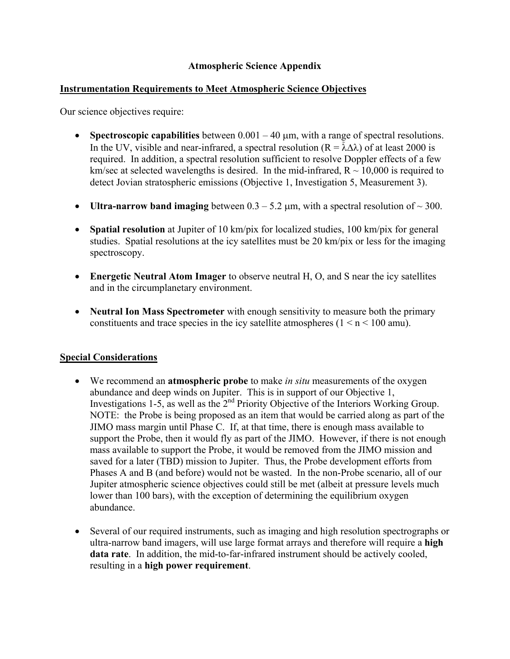## **Atmospheric Science Appendix**

#### **Instrumentation Requirements to Meet Atmospheric Science Objectives**

Our science objectives require:

- **Spectroscopic capabilities** between 0.001 40 µm, with a range of spectral resolutions. In the UV, visible and near-infrared, a spectral resolution ( $R = \tilde{\lambda} \Delta \lambda$ ) of at least 2000 is required. In addition, a spectral resolution sufficient to resolve Doppler effects of a few km/sec at selected wavelengths is desired. In the mid-infrared,  $R \sim 10,000$  is required to detect Jovian stratospheric emissions (Objective 1, Investigation 5, Measurement 3).
- **Ultra-narrow band imaging** between  $0.3 5.2 \mu m$ , with a spectral resolution of  $\sim 300$ .
- **Spatial resolution** at Jupiter of 10 km/pix for localized studies, 100 km/pix for general studies. Spatial resolutions at the icy satellites must be 20 km/pix or less for the imaging spectroscopy.
- **Energetic Neutral Atom Imager** to observe neutral H, O, and S near the icy satellites and in the circumplanetary environment.
- **Neutral Ion Mass Spectrometer** with enough sensitivity to measure both the primary constituents and trace species in the icy satellite atmospheres  $(1 \le n \le 100 \text{ amu})$ .

## **Special Considerations**

- We recommend an **atmospheric probe** to make *in situ* measurements of the oxygen abundance and deep winds on Jupiter. This is in support of our Objective 1, Investigations 1-5, as well as the  $2<sup>nd</sup>$  Priority Objective of the Interiors Working Group. NOTE: the Probe is being proposed as an item that would be carried along as part of the JIMO mass margin until Phase C. If, at that time, there is enough mass available to support the Probe, then it would fly as part of the JIMO. However, if there is not enough mass available to support the Probe, it would be removed from the JIMO mission and saved for a later (TBD) mission to Jupiter. Thus, the Probe development efforts from Phases A and B (and before) would not be wasted. In the non-Probe scenario, all of our Jupiter atmospheric science objectives could still be met (albeit at pressure levels much lower than 100 bars), with the exception of determining the equilibrium oxygen abundance.
- Several of our required instruments, such as imaging and high resolution spectrographs or ultra-narrow band imagers, will use large format arrays and therefore will require a **high data rate**. In addition, the mid-to-far-infrared instrument should be actively cooled, resulting in a **high power requirement**.